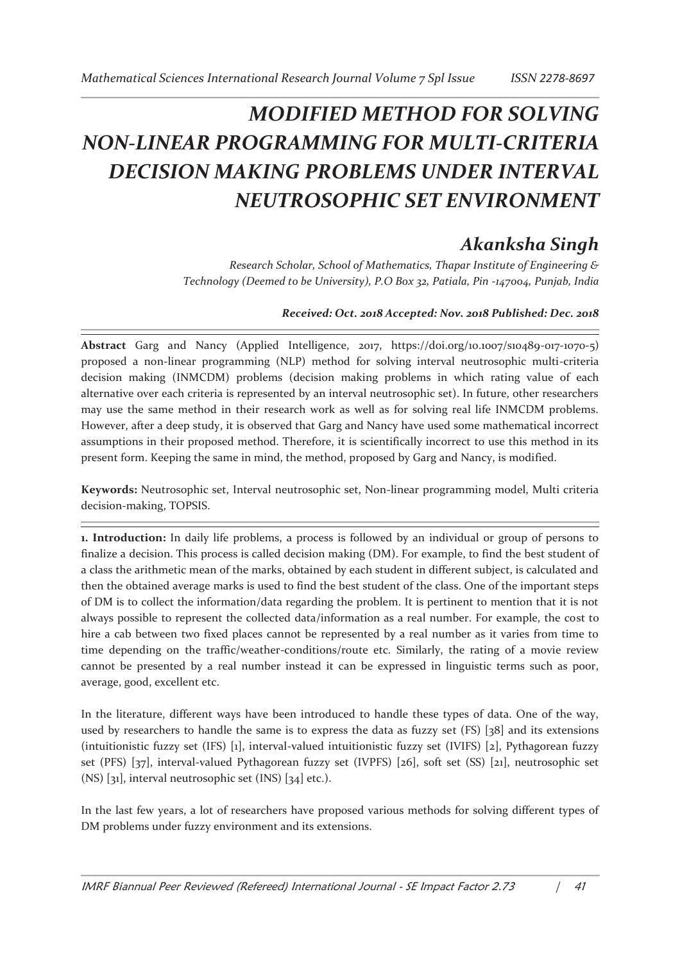## *MODIFIED METHOD FOR SOLVING NON-LINEAR PROGRAMMING FOR MULTI-CRITERIA DECISION MAKING PROBLEMS UNDER INTERVAL NEUTROSOPHIC SET ENVIRONMENT*

## *Akanksha Singh*

*Research Scholar, School of Mathematics, Thapar Institute of Engineering & Technology (Deemed to be University), P.O Box 32, Patiala, Pin -147004, Punjab, India* 

## *Received: Oct. 2018 Accepted: Nov. 2018 Published: Dec. 2018*

**Abstract** Garg and Nancy (Applied Intelligence, 2017, https://doi.org/10.1007/s10489-017-1070-5) proposed a non-linear programming (NLP) method for solving interval neutrosophic multi-criteria decision making (INMCDM) problems (decision making problems in which rating value of each alternative over each criteria is represented by an interval neutrosophic set). In future, other researchers may use the same method in their research work as well as for solving real life INMCDM problems. However, after a deep study, it is observed that Garg and Nancy have used some mathematical incorrect assumptions in their proposed method. Therefore, it is scientifically incorrect to use this method in its present form. Keeping the same in mind, the method, proposed by Garg and Nancy, is modified.

**Keywords:** Neutrosophic set, Interval neutrosophic set, Non-linear programming model, Multi criteria decision-making, TOPSIS.

**1. Introduction:** In daily life problems, a process is followed by an individual or group of persons to finalize a decision. This process is called decision making (DM). For example, to find the best student of a class the arithmetic mean of the marks, obtained by each student in different subject, is calculated and then the obtained average marks is used to find the best student of the class. One of the important steps of DM is to collect the information/data regarding the problem. It is pertinent to mention that it is not always possible to represent the collected data/information as a real number. For example, the cost to hire a cab between two fixed places cannot be represented by a real number as it varies from time to time depending on the traffic/weather-conditions/route etc. Similarly, the rating of a movie review cannot be presented by a real number instead it can be expressed in linguistic terms such as poor, average, good, excellent etc.

In the literature, different ways have been introduced to handle these types of data. One of the way, used by researchers to handle the same is to express the data as fuzzy set (FS) [38] and its extensions (intuitionistic fuzzy set (IFS) [1], interval-valued intuitionistic fuzzy set (IVIFS) [2], Pythagorean fuzzy set (PFS) [37], interval-valued Pythagorean fuzzy set (IVPFS) [26], soft set (SS) [21], neutrosophic set  $(NS)$  [31], interval neutrosophic set (INS) [34] etc.).

In the last few years, a lot of researchers have proposed various methods for solving different types of DM problems under fuzzy environment and its extensions.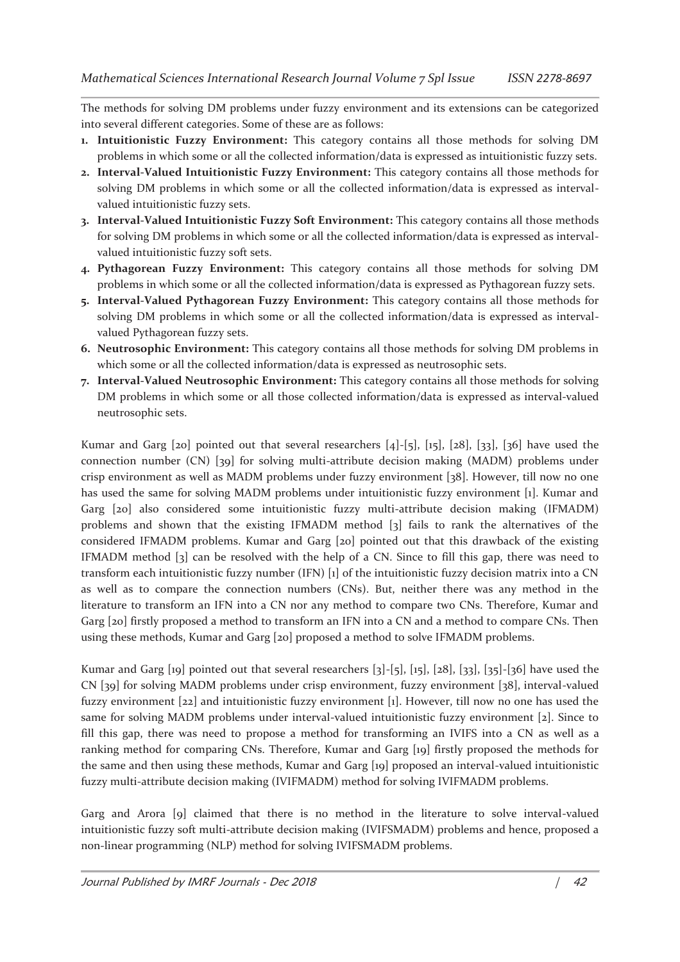The methods for solving DM problems under fuzzy environment and its extensions can be categorized into several different categories. Some of these are as follows:

- **1. Intuitionistic Fuzzy Environment:** This category contains all those methods for solving DM problems in which some or all the collected information/data is expressed as intuitionistic fuzzy sets.
- **2. Interval-Valued Intuitionistic Fuzzy Environment:** This category contains all those methods for solving DM problems in which some or all the collected information/data is expressed as intervalvalued intuitionistic fuzzy sets.
- **3. Interval-Valued Intuitionistic Fuzzy Soft Environment:** This category contains all those methods for solving DM problems in which some or all the collected information/data is expressed as intervalvalued intuitionistic fuzzy soft sets.
- **4. Pythagorean Fuzzy Environment:** This category contains all those methods for solving DM problems in which some or all the collected information/data is expressed as Pythagorean fuzzy sets.
- **5. Interval-Valued Pythagorean Fuzzy Environment:** This category contains all those methods for solving DM problems in which some or all the collected information/data is expressed as intervalvalued Pythagorean fuzzy sets.
- **6. Neutrosophic Environment:** This category contains all those methods for solving DM problems in which some or all the collected information/data is expressed as neutrosophic sets.
- **7. Interval-Valued Neutrosophic Environment:** This category contains all those methods for solving DM problems in which some or all those collected information/data is expressed as interval-valued neutrosophic sets.

Kumar and Garg [20] pointed out that several researchers  $[4]$ -[5], [15], [28], [33], [36] have used the connection number (CN) [39] for solving multi-attribute decision making (MADM) problems under crisp environment as well as MADM problems under fuzzy environment [38]. However, till now no one has used the same for solving MADM problems under intuitionistic fuzzy environment [1]. Kumar and Garg [20] also considered some intuitionistic fuzzy multi-attribute decision making (IFMADM) problems and shown that the existing IFMADM method [3] fails to rank the alternatives of the considered IFMADM problems. Kumar and Garg [20] pointed out that this drawback of the existing IFMADM method [3] can be resolved with the help of a CN. Since to fill this gap, there was need to transform each intuitionistic fuzzy number (IFN) [1] of the intuitionistic fuzzy decision matrix into a CN as well as to compare the connection numbers (CNs). But, neither there was any method in the literature to transform an IFN into a CN nor any method to compare two CNs. Therefore, Kumar and Garg [20] firstly proposed a method to transform an IFN into a CN and a method to compare CNs. Then using these methods, Kumar and Garg [20] proposed a method to solve IFMADM problems.

Kumar and Garg [19] pointed out that several researchers [3]-[5], [15], [28], [33], [35]-[36] have used the CN [39] for solving MADM problems under crisp environment, fuzzy environment [38], interval-valued fuzzy environment [22] and intuitionistic fuzzy environment [1]. However, till now no one has used the same for solving MADM problems under interval-valued intuitionistic fuzzy environment [2]. Since to fill this gap, there was need to propose a method for transforming an IVIFS into a CN as well as a ranking method for comparing CNs. Therefore, Kumar and Garg [19] firstly proposed the methods for the same and then using these methods, Kumar and Garg [19] proposed an interval-valued intuitionistic fuzzy multi-attribute decision making (IVIFMADM) method for solving IVIFMADM problems.

Garg and Arora [9] claimed that there is no method in the literature to solve interval-valued intuitionistic fuzzy soft multi-attribute decision making (IVIFSMADM) problems and hence, proposed a non-linear programming (NLP) method for solving IVIFSMADM problems.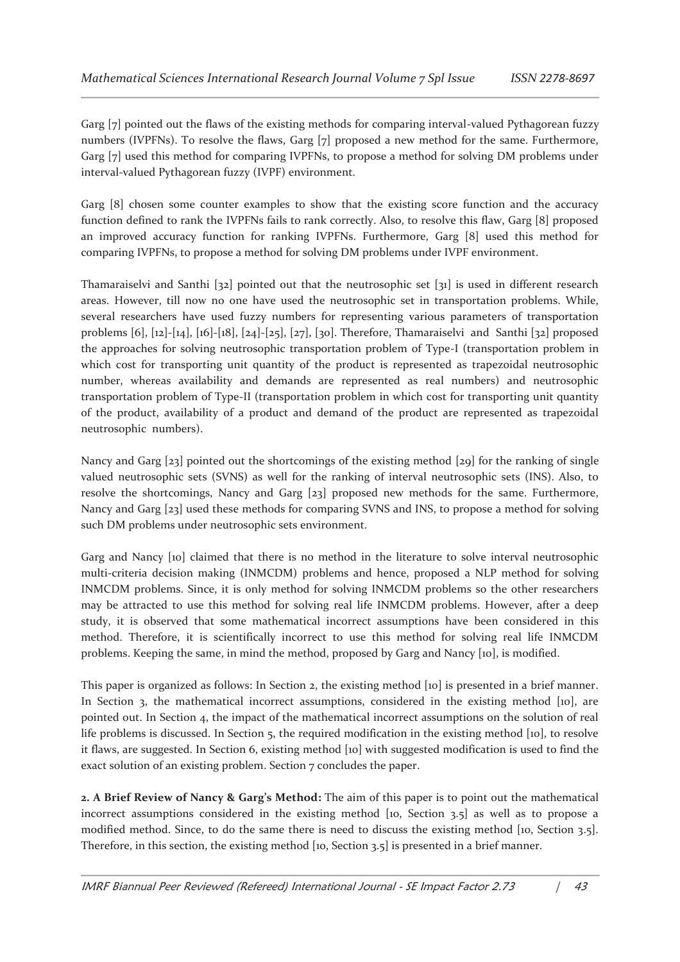Garg [7] pointed out the flaws of the existing methods for comparing interval-valued Pythagorean fuzzy numbers (IVPFNs). To resolve the flaws, Garg [7] proposed a new method for the same. Furthermore, Garg [7] used this method for comparing IVPFNs, to propose a method for solving DM problems under interval-valued Pythagorean fuzzy (IVPF) environment.

Garg [8] chosen some counter examples to show that the existing score function and the accuracy function defined to rank the IVPFNs fails to rank correctly. Also, to resolve this flaw, Garg [8] proposed an improved accuracy function for ranking IVPFNs. Furthermore, Garg [8] used this method for comparing IVPFNs, to propose a method for solving DM problems under IVPF environment.

Thamaraiselvi and Santhi [32] pointed out that the neutrosophic set [31] is used in different research areas. However, till now no one have used the neutrosophic set in transportation problems. While, several researchers have used fuzzy numbers for representing various parameters of transportation problems [6], [12]-[14], [16]-[18], [24]-[25], [27], [30]. Therefore, Thamaraiselvi and Santhi [32] proposed the approaches for solving neutrosophic transportation problem of Type-I (transportation problem in which cost for transporting unit quantity of the product is represented as trapezoidal neutrosophic number, whereas availability and demands are represented as real numbers) and neutrosophic transportation problem of Type-II (transportation problem in which cost for transporting unit quantity of the product, availability of a product and demand of the product are represented as trapezoidal neutrosophic numbers).

Nancy and Garg [23] pointed out the shortcomings of the existing method [29] for the ranking of single valued neutrosophic sets (SVNS) as well for the ranking of interval neutrosophic sets (INS). Also, to resolve the shortcomings, Nancy and Garg [23] proposed new methods for the same. Furthermore, Nancy and Garg [23] used these methods for comparing SVNS and INS, to propose a method for solving such DM problems under neutrosophic sets environment.

Garg and Nancy [10] claimed that there is no method in the literature to solve interval neutrosophic multi-criteria decision making (INMCDM) problems and hence, proposed a NLP method for solving INMCDM problems. Since, it is only method for solving INMCDM problems so the other researchers may be attracted to use this method for solving real life INMCDM problems. However, after a deep study, it is observed that some mathematical incorrect assumptions have been considered in this method. Therefore, it is scientifically incorrect to use this method for solving real life INMCDM problems. Keeping the same, in mind the method, proposed by Garg and Nancy [10], is modified.

This paper is organized as follows: In Section 2, the existing method [10] is presented in a brief manner. In Section 3, the mathematical incorrect assumptions, considered in the existing method [10], are pointed out. In Section 4, the impact of the mathematical incorrect assumptions on the solution of real life problems is discussed. In Section 5, the required modification in the existing method [10], to resolve it flaws, are suggested. In Section 6, existing method [10] with suggested modification is used to find the exact solution of an existing problem. Section 7 concludes the paper.

**2. A Brief Review of Nancy & Garg's Method:** The aim of this paper is to point out the mathematical incorrect assumptions considered in the existing method [10, Section 3.5] as well as to propose a modified method. Since, to do the same there is need to discuss the existing method [10, Section 3.5]. Therefore, in this section, the existing method [10, Section 3.5] is presented in a brief manner.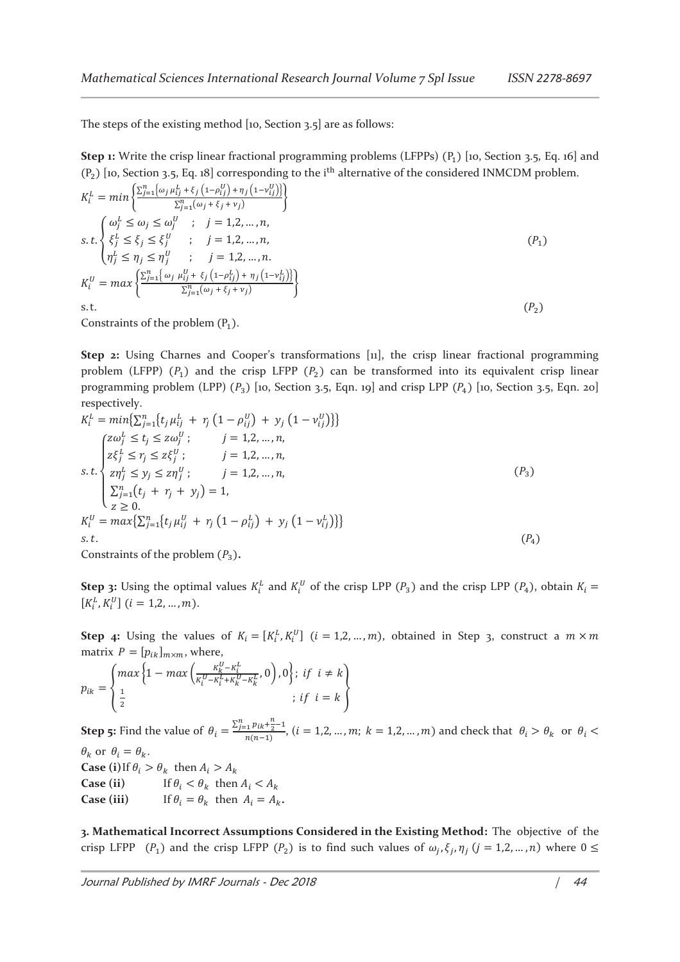The steps of the existing method [10, Section 3.5] are as follows:

**Step 1:** Write the crisp linear fractional programming problems (LFPPs)  $(P_1)$  [10, Section 3.5, Eq. 16] and  $(P_2)$  [10, Section 3.5, Eq. 18] corresponding to the i<sup>th</sup> alternative of the considered INMCDM problem.

$$
K_i^L = \min \left\{ \frac{\sum_{j=1}^n \{\omega_j \mu_{ij}^L + \xi_j \left(1 - \rho_{ij}^U\right) + \eta_j \left(1 - \nu_{ij}^U\right)\}}{\sum_{j=1}^n (\omega_j + \xi_j + \nu_j)} \right\}
$$
\n
$$
s.t. \left\{ \xi_j^L \leq \xi_j \leq \xi_j^U \right\}; \quad j = 1, 2, ..., n,
$$
\n
$$
n_j^L \leq \eta_j \leq \eta_j^U \right\}; \quad j = 1, 2, ..., n,
$$
\n
$$
K_i^U = \max \left\{ \frac{\sum_{j=1}^n \{\omega_j \mu_{ij}^U + \xi_j \left(1 - \rho_{ij}^L\right) + \eta_j \left(1 - \nu_{ij}^L\right)\}}{\sum_{j=1}^n (\omega_j + \xi_j + \nu_j)} \right\}
$$
\n
$$
s.t.
$$
\n
$$
(P_1)
$$
\n
$$
S = \sum_{j=1}^n \{\sum_{j=1}^n (\omega_j \mu_{ij}^U + \xi_j \left(1 - \rho_{ij}^U\right) + \eta_j \left(1 - \nu_{ij}^U\right)\} \}
$$
\n
$$
s.t.
$$
\n
$$
(P_2)
$$

Constraints of the problem  $(P_1)$ .

**Step 2:** Using Charnes and Cooper's transformations [11], the crisp linear fractional programming problem (LFPP)  $(P_1)$  and the crisp LFPP  $(P_2)$  can be transformed into its equivalent crisp linear programming problem (LPP)  $(P_3)$  [10, Section 3.5, Eqn. 19] and crisp LPP  $(P_4)$  [10, Section 3.5, Eqn. 20] respectively.

$$
K_{i}^{L} = \min\{\sum_{j=1}^{n} \{t_{j} \mu_{ij}^{L} + r_{j} (1 - \rho_{ij}^{U}) + y_{j} (1 - v_{ij}^{U})\}\}\
$$
  
\n
$$
Z_{ij}^{\alpha} \leq t_{j} \leq z\omega_{j}^{U}; \qquad j = 1, 2, ..., n,
$$
  
\n
$$
S.t. \begin{cases} z\zeta_{j}^{L} \leq r_{j} \leq z\xi_{j}^{U}; & j = 1, 2, ..., n, \\ z\eta_{j}^{L} \leq y_{j} \leq z\eta_{j}^{U}; & j = 1, 2, ..., n, \\ z\eta_{j}^{L} \leq y_{j} \leq z\eta_{j}^{U}; & j = 1, 2, ..., n, \\ \sum_{j=1}^{n} (t_{j} + r_{j} + y_{j}) = 1, \\ z \geq 0. \\ K_{i}^{U} = \max\{\sum_{j=1}^{n} \{t_{j} \mu_{ij}^{U} + r_{j} (1 - \rho_{ij}^{L}) + y_{j} (1 - v_{ij}^{L})\}\} \\ s.t. \end{cases} (P_{4})
$$

Constraints of the problem  $(P_3)$ .

**Step 3:** Using the optimal values  $K_i^L$  and  $K_i^U$  of the crisp LPP  $(P_3)$  and the crisp LPP  $(P_4)$ , obtain  $K_i =$  $[K_i^L, K_i^U]$   $(i = 1, 2, ..., m)$ .

**Step 4:** Using the values of  $K_i = [K_i^L, K_i^U]$   $(i = 1, 2, ..., m)$ , obtained in Step 3, construct a  $m \times m$ matrix  $P = [p_{ik}]_{m \times m}$ , where,

$$
p_{ik} = \begin{cases} max \left\{1 - max\left(\frac{K_k^U - K_i^L}{K_i^U - K_i^L + K_k^U - K_k^L}, 0\right), 0\right\}; & \text{if } i \neq k \\ \frac{1}{2} & \text{if } i = k \end{cases}
$$

**Step 5:** Find the value of  $\theta_i = \frac{\sum_{j=1}^{n} p_{ik} + \frac{n}{2} - 1}{n(n-1)}$  $\frac{\sum_{i} P_{i} R_{i}}{n(n-1)}$ ,  $(i = 1, 2, ..., m; k = 1, 2, ..., m)$  and check that  $\theta_i > \theta_k$  or  $\theta_i <$  $\theta_k$  or  $\theta_i = \theta_k$ . **Case (i)** If  $\theta_i > \theta_k$  then  $A_i > A_k$ **Case (ii)** If  $\theta_i < \theta_k$  then  $A_i < A_k$ **Case (iii)** If  $\theta_i = \theta_k$  then  $A_i = A_k$ .

**3. Mathematical Incorrect Assumptions Considered in the Existing Method:** The objective of the crisp LFPP ( $P_1$ ) and the crisp LFPP ( $P_2$ ) is to find such values of  $\omega_j$ ,  $\xi_j$ ,  $\eta_j$  ( $j = 1, 2, ..., n$ ) where  $0 \leq$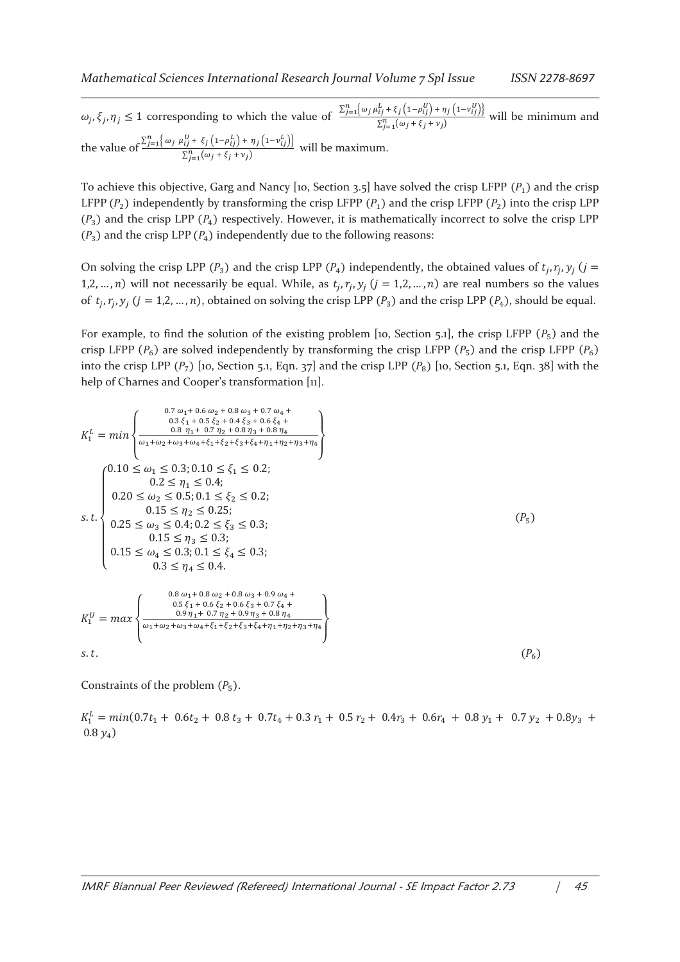$\omega_j, \xi_j, \eta_j \leq 1$  corresponding to which the value of  $\frac{\sum_{j=1}^n \{\omega_j \mu_{ij}^L + \xi_j (1-\rho_{ij}^U) + \eta_j (1-\nu_{ij}^U)\}}{\sum_{j=1}^n (\omega_i + \xi_i + \nu_i)}$  $\sum_{j=1}^{n} (\omega_j + \xi_j + \nu_j)$  will be minimum and the value of  $\frac{\sum_{j=1}^{n} \{\omega_j \mu_{ij}^U + \xi_j (1-\rho_{ij}^L) + \eta_j (1-\nu_{ij}^L)\}}{\sum_{j=1}^{n} \{(\omega_j \mu_{ij}^L + \xi_j (1-\rho_{ij}^L) + \eta_j (1-\nu_{ij}^L)\}}$  $\frac{\sum_{j=1}^{n} (\omega_j + \xi_j + v_j)}{\sum_{j=1}^{n} (\omega_j + \xi_j + v_j)}$  will be maximum.

To achieve this objective, Garg and Nancy [10, Section 3.5] have solved the crisp LFPP  $(P_1)$  and the crisp LFPP  $(P_2)$  independently by transforming the crisp LFPP  $(P_1)$  and the crisp LFPP  $(P_2)$  into the crisp LPP  $(P_3)$  and the crisp LPP  $(P_4)$  respectively. However, it is mathematically incorrect to solve the crisp LPP  $(P_3)$  and the crisp LPP  $(P_4)$  independently due to the following reasons:

On solving the crisp LPP ( $P_3$ ) and the crisp LPP ( $P_4$ ) independently, the obtained values of  $t_j$ ,  $r_j$ ,  $y_j$  ( $j =$ 1,2, ..., *n*) will not necessarily be equal. While, as  $t_j$ ,  $r_j$ ,  $y_j$  ( $j = 1, 2, ..., n$ ) are real numbers so the values of  $t_j$ ,  $r_j$ ,  $y_j$  ( $j = 1, 2, ..., n$ ), obtained on solving the crisp LPP  $(P_3)$  and the crisp LPP  $(P_4)$ , should be equal.

For example, to find the solution of the existing problem [10, Section 5.1], the crisp LFPP  $(P_5)$  and the crisp LFPP  $(P_6)$  are solved independently by transforming the crisp LFPP  $(P_5)$  and the crisp LFPP  $(P_6)$ into the crisp LPP  $(P_7)$  [10, Section 5.1, Eqn. 37] and the crisp LPP  $(P_8)$  [10, Section 5.1, Eqn. 38] with the help of Charnes and Cooper's transformation [11].

$$
K_{1}^{L} = min \left\{ \begin{array}{l} 0.7 \omega_{1} + 0.6 \omega_{2} + 0.8 \omega_{3} + 0.7 \omega_{4} + \\ 0.3 \xi_{1} + 0.5 \xi_{2} + 0.4 \xi_{3} + 0.6 \xi_{4} + \\ 0.8 \eta_{1} + 0.7 \eta_{2} + 0.8 \eta_{3} + 0.8 \eta_{4} \\ \omega_{1} + \omega_{2} + \omega_{3} + \omega_{4} + \xi_{1} + \xi_{2} + \xi_{3} + \xi_{4} + \eta_{1} + \eta_{2} + \eta_{3} + \eta_{4} \\ 0.20 \le \omega_{1} \le 0.3; 0.10 \le \xi_{1} \le 0.2; \\ 0.2 \le \eta_{1} \le 0.4; \\ 0.20 \le \omega_{2} \le 0.5; 0.1 \le \xi_{2} \le 0.2; \\ 0.15 \le \eta_{2} \le 0.25; \\ 0.15 \le \eta_{3} \le 0.3; \\ 0.15 \le \eta_{3} \le 0.3; \\ 0.15 \le \omega_{4} \le 0.3; 0.1 \le \xi_{4} \le 0.3; \\ 0.3 \le \eta_{4} \le 0.4. \end{array} \right. (P_{5})
$$
\n
$$
K_{1}^{U} = max \left\{ \begin{array}{l} 0.8 \omega_{1} + 0.8 \omega_{2} + 0.8 \omega_{3} + 0.9 \omega_{4} + \\ 0.5 \xi_{1} + 0.6 \xi_{2} + 0.6 \omega_{3} + 0.9 \omega_{4} + \\ 0.9 \eta_{1} + 0.7 \eta_{2} + 0.9 \eta_{3} + 0.8 \omega_{4} + \\ 0.9 \eta_{1} + 0.7 \eta_{2} + 0.9 \eta_{3} + 0.8 \eta_{4} \\ \omega_{1} + \omega_{2} + \omega_{3} + \omega_{4} + \xi_{1} + \xi_{2} + \xi_{3} + \xi_{4} + \eta_{1} + \eta_{2} + \eta_{3} + \eta_{4} \\ 0.5 \xi_{1} + 0.0 \xi_{2} + 0.6 \eta_{3} + 0.8 \eta_{4} \\ 0.5 \xi_{1} + 0.6
$$

Constraints of the problem  $(P_5)$ .

 $K_1^L = min(0.7t_1 + 0.6t_2 + 0.8t_3 + 0.7t_4 + 0.3t_1 + 0.5t_2 + 0.4t_3 + 0.6t_4 + 0.8y_1 + 0.7y_2 + 0.8y_3 +$  $0.8 y_4$ )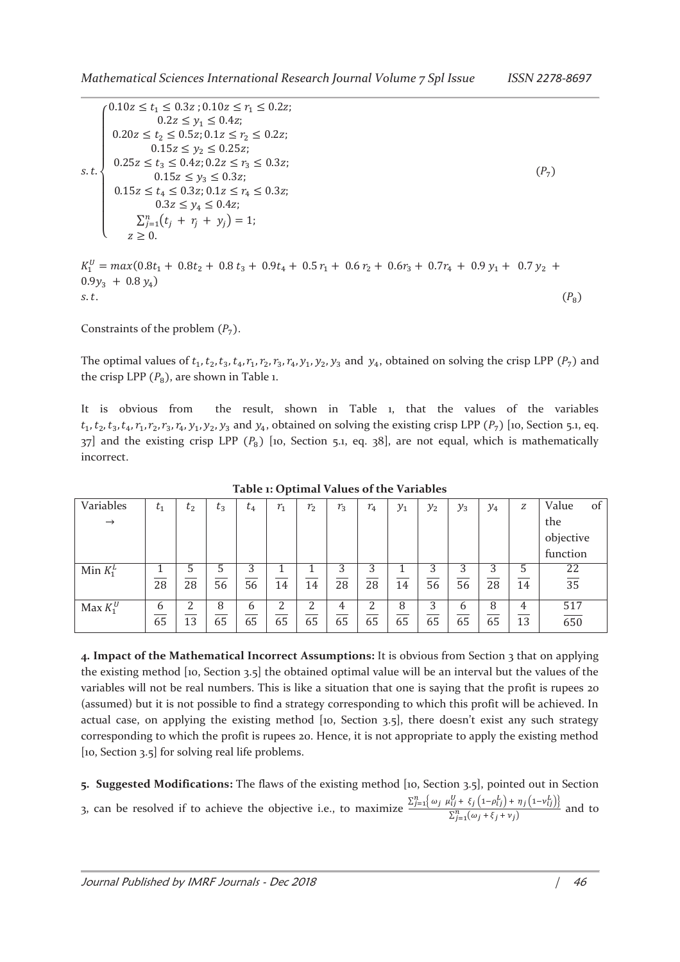|      | $(0.10z \le t_1 \le 0.3z; 0.10z \le r_1 \le 0.2z;$   |         |
|------|------------------------------------------------------|---------|
| s.t. | $0.2z \leq y_1 \leq 0.4z$ ;                          |         |
|      | $0.20z \le t_2 \le 0.5z$ ; $0.1z \le r_2 \le 0.2z$ ; |         |
|      | $0.15z \leq y_2 \leq 0.25z$ ;                        |         |
|      | $0.25z \le t_3 \le 0.4z; 0.2z \le r_3 \le 0.3z;$     |         |
|      | $0.15z \leq y_3 \leq 0.3z$ ;                         | $(P_7)$ |
|      | $0.15z \le t_4 \le 0.3z; 0.1z \le r_4 \le 0.3z;$     |         |
|      | $0.3z \leq y_4 \leq 0.4z$ ;                          |         |
|      | $\sum_{i=1}^{n} (t_i + r_i + y_i) = 1;$              |         |
|      | $z \geq 0$ .                                         |         |
|      |                                                      |         |

 $K_1^0 = \max(0.8t_1 + 0.8t_2 + 0.8t_3 + 0.9t_4 + 0.5r_1 + 0.6r_2 + 0.6r_3 + 0.7r_4 + 0.9y_1 + 0.7y_2 +$  $0.9y_3 + 0.8y_4$ s.t.  $(P_8)$ 

Constraints of the problem  $(P_7)$ .

The optimal values of  $t_1, t_2, t_3, t_4, r_1, r_2, r_3, r_4, y_1, y_2, y_3$  and  $y_4$ , obtained on solving the crisp LPP  $(P_7)$  and the crisp LPP  $(P_8)$ , are shown in Table 1.

It is obvious from the result, shown in Table 1, that the values of the variables  $t_1, t_2, t_3, t_4, r_1, r_2, r_3, r_4, y_1, y_2, y_3$  and  $y_4$ , obtained on solving the existing crisp LPP  $(P_7)$  [10, Section 5.1, eq.  $37$ ] and the existing crisp LPP  $(P_8)$  [10, Section 5.1, eq. 38], are not equal, which is mathematically incorrect.

| Variables     | $t_{1}$ | $t_{2}$ | $t_3$ | $\ddot{}$<br>$\iota_4$ | $r_{1}$ | $r_{2}$ | $r_{3}$ | $r_{4}$ | $y_1$ | $y_2$ | $y_3$ | $y_4$ | Z  | Value<br>οt       |
|---------------|---------|---------|-------|------------------------|---------|---------|---------|---------|-------|-------|-------|-------|----|-------------------|
| $\rightarrow$ |         |         |       |                        |         |         |         |         |       |       |       |       |    | the               |
|               |         |         |       |                        |         |         |         |         |       |       |       |       |    | objective         |
|               |         |         |       |                        |         |         |         |         |       |       |       |       |    | function          |
| Min $K_1^L$   |         | 5       |       |                        |         |         | 3       | 3       |       | 3     | 3     |       |    | 22                |
|               | 28      | 28      | 56    | 56                     | 14      | 14      | 28      | 28      | 14    | 56    | 56    | 28    | 14 | $\overline{35}$   |
| Max $K_1^U$   | 6       |         | 8     | h                      |         |         | 4       |         | 8     | 3     | 6     | 8     | 4  | $\frac{517}{650}$ |
|               | 65      | 13      | 65    | 65                     | 65      | 65      | 65      | 65      | 65    | 65    | 65    | 65    | 13 |                   |

**Table 1: Optimal Values of the Variables** 

**4. Impact of the Mathematical Incorrect Assumptions:** It is obvious from Section 3 that on applying the existing method [10, Section 3.5] the obtained optimal value will be an interval but the values of the variables will not be real numbers. This is like a situation that one is saying that the profit is rupees 20 (assumed) but it is not possible to find a strategy corresponding to which this profit will be achieved. In actual case, on applying the existing method [10, Section 3.5], there doesn't exist any such strategy corresponding to which the profit is rupees 20. Hence, it is not appropriate to apply the existing method [10, Section 3.5] for solving real life problems.

**5. Suggested Modifications:** The flaws of the existing method [10, Section 3.5], pointed out in Section 3, can be resolved if to achieve the objective i.e., to maximize  $\frac{\sum_{j=1}^{n} \omega_j \mu_{ij}^0 + \xi_j (1-\rho_{ij}^L) + \eta_j (1-\nu_{ij}^L)\}$  $\sum_{j=1}^{n} (\omega_j + \xi_j + v_j)$  and to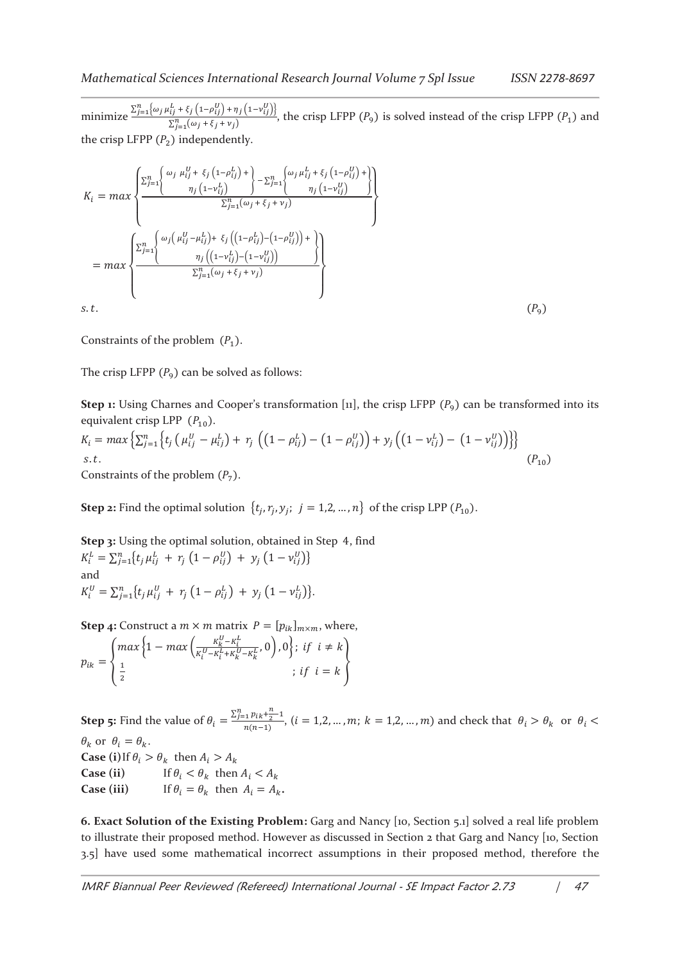minimize  $\frac{\sum_{j=1}^{n} {\omega_j \mu_{ij}^L + \xi_j (1 - \rho_{ij}^U) + \eta_j (1 - \nu_{ij}^U)}$  $\frac{\sum_{j=1}^{n} (a_j + \xi_j + v_j)}{\sum_{j=1}^{n} (a_j + \xi_j + v_j)}$ , the crisp LFPP  $(P_9)$  is solved instead of the crisp LFPP  $(P_1)$  and the crisp LFPP  $(P_2)$  independently.

$$
K_{i} = max \left\{ \frac{\sum_{j=1}^{n} \left\{ \omega_{j} \mu_{ij}^{U} + \xi_{j} (1 - \rho_{ij}^{L}) + \sum_{j=1}^{n} \left\{ \omega_{j} \mu_{ij}^{L} + \xi_{j} (1 - \rho_{ij}^{U}) + \right\}}{\eta_{j} (1 - \nu_{ij}^{U})} \right\}}{\sum_{j=1}^{n} (\omega_{j} + \xi_{j} + \nu_{j})} \right\}
$$
\n
$$
= max \left\{ \frac{\sum_{j=1}^{n} \left\{ \omega_{j} (\mu_{ij}^{U} - \mu_{ij}^{L}) + \xi_{j} ((1 - \rho_{ij}^{L}) - (1 - \rho_{ij}^{U})) + \right\}}{\eta_{j} ((1 - \nu_{ij}^{L}) - (1 - \nu_{ij}^{U}))} \right\}}
$$
\n
$$
= max \left\{ \frac{\sum_{j=1}^{n} (\omega_{j} + \xi_{j} + \nu_{j})}{\sum_{j=1}^{n} (\omega_{j} + \xi_{j} + \nu_{j})} \right\}
$$
\n
$$
s.t. (P_{9})
$$

Constraints of the problem  $(P_1)$ .

The crisp LFPP  $(P_9)$  can be solved as follows:

**Step 1:** Using Charnes and Cooper's transformation [11], the crisp LFPP  $(P_9)$  can be transformed into its equivalent crisp LPP  $(P_{10})$ .

$$
K_i = \max \left\{ \sum_{j=1}^n \left\{ t_j \left( \mu_{ij}^U - \mu_{ij}^L \right) + r_j \left( \left( 1 - \rho_{ij}^L \right) - \left( 1 - \rho_{ij}^U \right) \right) + y_j \left( \left( 1 - \nu_{ij}^L \right) - \left( 1 - \nu_{ij}^U \right) \right) \right\} \right\}
$$
  
s.t.  
Constraints of the problem  $(P_7)$ .  
(2)

Constraints of the problem  $(P_7)$ 

**Step 2:** Find the optimal solution  $\{t_j, r_j, y_j; j = 1, 2, ..., n\}$  of the crisp LPP  $(P_{10})$ .

**Step 3:** Using the optimal solution, obtained in Step 4, find  $K_i^L = \sum_{j=1}^n \{t_j \mu_{ij}^L + r_j (1 - \rho_{ij}^U) + y_j (1 - \nu_{ij}^U)\}\$ and  $K_i^U = \sum_{j=1}^n \{t_j \mu_{ij}^U + r_j (1 - \rho_{ij}^L) + y_j (1 - \nu_{ij}^L)\}.$ 

**Step 4:** Construct a  $m \times m$  matrix  $P = [p_{ik}]_{m \times m}$ , where,

$$
p_{ik} = \begin{cases} \max \left\{ 1 - \max \left( \frac{K_k^U - K_i^L}{K_i^U - K_i^L + K_k^U - K_k^L}, 0 \right), 0 \right\}; & \text{if } i = k \\ \frac{1}{2} & \text{if } i = k \end{cases}
$$

**Step 5:** Find the value of  $\theta_i = \frac{\sum_{j=1}^{n} p_{ik} + \frac{n}{2} - 1}{n(n-1)}$  $\frac{n_1 P (k \cdot 2)^2}{n(n-1)}$ ,  $(i = 1, 2, ..., m; k = 1, 2, ..., m)$  and check that  $\theta_i > \theta_k$  or  $\theta_i <$  $\theta_k$  or  $\theta_i = \theta_k$ . **Case** (i) If  $\theta_i > \theta_k$  then  $A_i > A_k$ **Case (ii)** If  $\theta_i < \theta_k$  then  $A_i < A_k$ **Case (iii)** If  $\theta_i = \theta_k$  then  $A_i = A_k$ .

**6. Exact Solution of the Existing Problem:** Garg and Nancy [10, Section 5.1] solved a real life problem to illustrate their proposed method. However as discussed in Section 2 that Garg and Nancy [10, Section 3.5] have used some mathematical incorrect assumptions in their proposed method, therefore the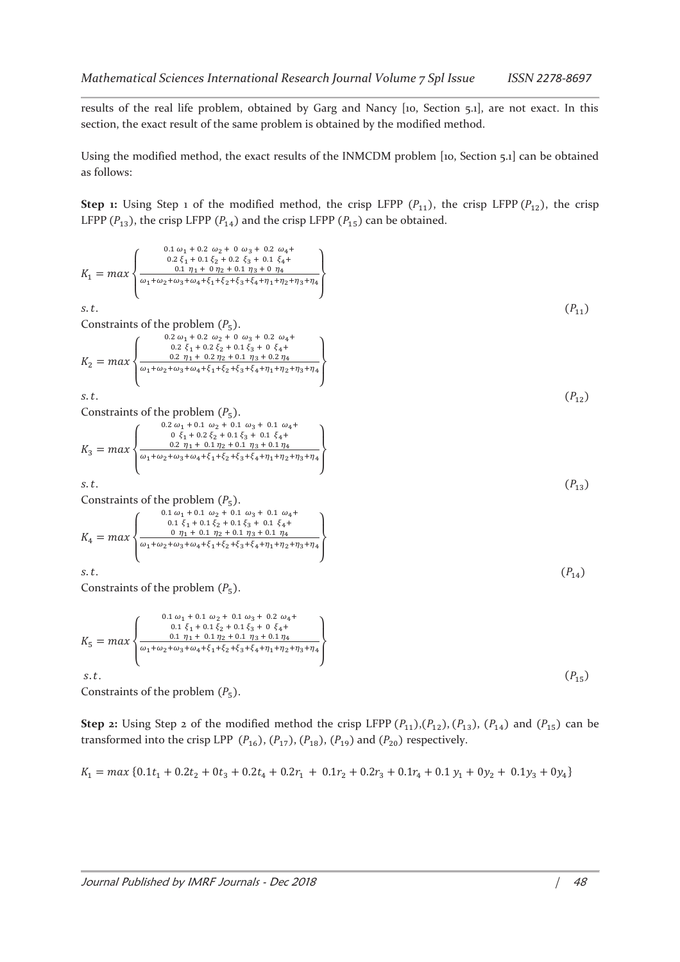results of the real life problem, obtained by Garg and Nancy [10, Section 5.1], are not exact. In this section, the exact result of the same problem is obtained by the modified method.

Using the modified method, the exact results of the INMCDM problem [10, Section 5.1] can be obtained as follows:

**Step 1:** Using Step 1 of the modified method, the crisp LFPP  $(P_{11})$ , the crisp LFPP  $(P_{12})$ , the crisp LFPP  $(P_{13})$ , the crisp LFPP  $(P_{14})$  and the crisp LFPP  $(P_{15})$  can be obtained.

$$
K_{1} = max \left\{ \begin{array}{ll} 0.1 & \omega_{1} + 0.2 & \omega_{2} + 0 & \omega_{3} + 0.2 & \omega_{4} + 0.2 & \omega_{5} + 0.2 & \omega_{6} + 0.2 & \omega_{7} + 0.2 & \omega_{8} + 0.2 & \omega_{9} + 0.2 & \omega_{1} + 0.2 & \omega_{1} + 0.2 & \omega_{1} + 0.2 & \omega_{1} + 0.2 & \omega_{1} + 0.2 & \omega_{2} + 0.2 & \omega_{3} + 0.2 & \omega_{4} + 0.2 & \omega_{4} + 0.2 & \omega_{4} + 0.2 & \omega_{4} + 0.2 & \omega_{4} + 0.2 & \omega_{4} + 0.2 & \omega_{4} + 0.2 & \omega_{4} + 0.2 & \omega_{4} + 0.2 & \omega_{4} + 0.2 & \omega_{4} + 0.2 & \omega_{4} + 0.2 & \omega_{4} + 0.2 & \omega_{4} + 0.2 & \omega_{4} + 0.2 & \omega_{4} + 0.2 & \omega_{4} + 0.2 & \omega_{4} + 0.2 & \omega_{4} + 0.2 & \omega_{4} + 0.2 & \omega_{4} + 0.2 & \omega_{4} + 0.2 & \omega_{4} + 0.2 & \omega_{4} + 0.2 & \omega_{4} + 0.2 & \omega_{4} + 0.2 & \omega_{5} + 0.6 & \omega_{6} + 0.2 & \omega_{7} + 0.1 & \omega_{8} + 0.1 & \omega_{8} + 0.1 & \omega_{8} + 0.1 & \omega_{8} + 0.1 & \omega_{4} + 0.1 & \omega_{2} + 0.1 & \omega_{3} + 0.1 & \omega_{4} + 0.1 & \omega_{4} + 0.1 & \omega_{4} + 0.1 & \omega_{4} + 0.1 & \omega_{4} + 0.1 & \omega_{4} + 0.1 & \omega_{4} + 0.1 & \omega_{4} + 0.1 & \omega_{4} + 0.1 & \omega_{4} + 0.1 & \omega_{4} + 0.1 & \omega_{4} + 0.1 & \omega_{4} + 0.1 & \omega_{4} + 0.1 & \omega_{4} + 0.1 & \omega
$$

**Step 2:** Using Step 2 of the modified method the crisp LFPP  $(P_{11})$ ,  $(P_{12})$ ,  $(P_{13})$ ,  $(P_{14})$  and  $(P_{15})$  can be transformed into the crisp LPP  $(P_{16})$ ,  $(P_{17})$ ,  $(P_{18})$ ,  $(P_{19})$  and  $(P_{20})$  respectively.

$$
K_1 = \max \{0.1t_1 + 0.2t_2 + 0t_3 + 0.2t_4 + 0.2r_1 + 0.1r_2 + 0.2r_3 + 0.1r_4 + 0.1y_1 + 0y_2 + 0.1y_3 + 0y_4\}
$$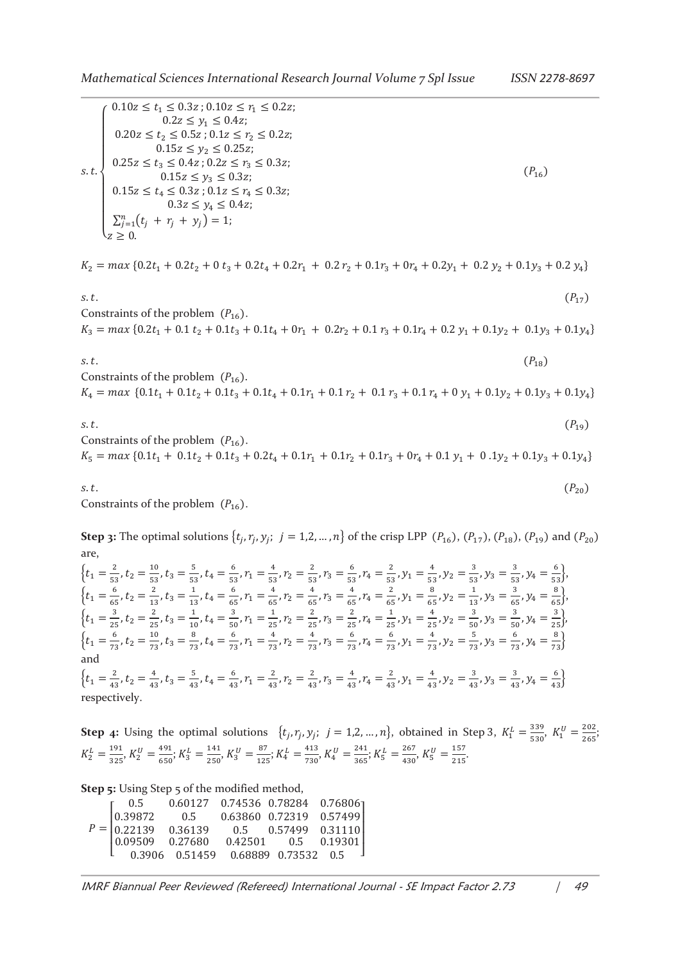| s.t. | $r$ 0.10z $\leq t_1 \leq 0.3z$ ; 0.10z $\leq r_1 \leq 0.2z$ ;<br>$0.2z \leq y_1 \leq 0.4z$ ;<br>$0.20z \le t_2 \le 0.5z$ ; $0.1z \le r_2 \le 0.2z$ ;<br>$0.15z \leq y_2 \leq 0.25z$ ;<br>$0.25z \le t_3 \le 0.4z$ ; $0.2z \le r_3 \le 0.3z$ ;<br>$0.15z \leq y_3 \leq 0.3z$ ;<br>$0.15z \le t_4 \le 0.3z$ ; $0.1z \le r_4 \le 0.3z$ ;<br>$0.3z \leq y_4 \leq 0.4z$ ; | $(P_{16})$ |
|------|----------------------------------------------------------------------------------------------------------------------------------------------------------------------------------------------------------------------------------------------------------------------------------------------------------------------------------------------------------------------|------------|
|      | $\sum_{j=1}^{n} (t_j + r_j + y_j) = 1;$<br>$z>0$ .                                                                                                                                                                                                                                                                                                                   |            |

 $K_2 = \max\left\{0.2t_1 + 0.2t_2 + 0 \cdot t_3 + 0.2t_4 + 0.2r_1 + 0.2 \cdot r_2 + 0.1r_3 + 0r_4 + 0.2y_1 + 0.2 \cdot y_2 + 0.1y_3 + 0.2 \cdot y_4\right\}$ 

s.t.  $(P_{17})$ Constraints of the problem  $(P_{16})$ .

 $K_3 = \max\{0.2t_1 + 0.1t_2 + 0.1t_3 + 0.1t_4 + 0r_1 + 0.2r_2 + 0.1r_3 + 0.1r_4 + 0.2y_1 + 0.1y_2 + 0.1y_3 + 0.1y_4\}$ 

 $s.t.$  ( $P_{18}$ ) Constraints of the problem  $(P_{16})$ .  $K_4 = \max \{0.1t_1 + 0.1t_2 + 0.1t_3 + 0.1t_4 + 0.1r_1 + 0.1r_2 + 0.1r_3 + 0.1r_4 + 0y_1 + 0.1y_2 + 0.1y_3 + 0.1y_4\}$ 

 $s.t.$  ( $P_{19}$ ) Constraints of the problem  $(P_{16})$ .  $K_5 = \max\{0.1t_1 + 0.1t_2 + 0.1t_3 + 0.2t_4 + 0.1r_1 + 0.1r_2 + 0.1r_3 + 0r_4 + 0.1y_1 + 0.1y_2 + 0.1y_3 + 0.1y_4\}$ 

s.t.  $(P_{20})$ Constraints of the problem  $(P_{16})$ .

**Step 3:** The optimal solutions  $\{t_j, r_j, y_j; j = 1, 2, ..., n\}$  of the crisp LPP  $(P_{16})$ ,  $(P_{17})$ ,  $(P_{18})$ ,  $(P_{19})$  and  $(P_{20})$ are,

 $\{t_1 = \frac{2}{5!}$  $\frac{2}{53}$ ,  $t_2 = \frac{10}{53}$  $\frac{10}{53}$ ,  $t_3 = \frac{5}{53}$  $\frac{5}{53}$ ,  $t_4 = \frac{6}{53}$  $\frac{6}{53}$ ,  $r_1 = \frac{4}{53}$  $\frac{4}{53}$ ,  $r_2 = \frac{2}{53}$  $\frac{2}{53}$ ,  $r_3 = \frac{6}{53}$  $\frac{6}{53}$ ,  $r_4 = \frac{2}{53}$  $\frac{2}{53}$ ,  $y_1 = \frac{4}{53}$  $\frac{4}{53}$ ,  $y_2 = \frac{3}{53}$  $\frac{3}{53}$ ,  $y_3 = \frac{3}{53}$  $\frac{3}{53}$ ,  $y_4 = \frac{6}{53}$ ,  $\{t_1 = \frac{6}{6!}$  $\frac{6}{65}$ ,  $t_2 = \frac{2}{13}$  $\frac{2}{13}$ ,  $t_3 = \frac{1}{13}$  $\frac{1}{13}$ ,  $t_4 = \frac{6}{65}$  $\frac{6}{65}$ ,  $r_1 = \frac{4}{65}$  $\frac{4}{65}$ ,  $r_2 = \frac{4}{65}$  $\frac{4}{65}$ ,  $r_3 = \frac{4}{65}$  $\frac{4}{65}$ ,  $r_4 = \frac{2}{65}$  $\frac{2}{65}$ ,  $y_1 = \frac{8}{65}$  $\frac{8}{65}$ ,  $y_2 = \frac{1}{13}$  $\frac{1}{13}$ ,  $y_3 = \frac{3}{65}$  $\frac{3}{65}$ ,  $y_4 = \frac{8}{65}$ ,  $\{t_1 = \frac{3}{25}, t_2 = \frac{2}{25}, t_3 = \frac{1}{10}, t_4 = \frac{3}{50}, r_1 = \frac{1}{25}, r_2 = \frac{2}{25}, r_3 = \frac{2}{25}, r_4 = \frac{1}{25}, y_1 = \frac{4}{25}, y_2 = \frac{3}{50}, y_3 = \frac{3}{50}, y_4 = \frac{3}{25}\},\$ ଶହ ଶହ ଵ ହ ଶହ ଶହ ଶହ ଶହ ଶହ ହ ହ  $\{t_1 = \frac{6}{75}\}$  $\frac{6}{73}$ ,  $t_2 = \frac{10}{73}$  $\frac{10}{73}$ ,  $t_3 = \frac{8}{73}$  $\frac{8}{73}$ ,  $t_4 = \frac{6}{73}$  $\frac{6}{73}$ ,  $r_1 = \frac{4}{73}$  $\frac{4}{73}$ ,  $r_2 = \frac{4}{73}$  $\frac{4}{73}$ ,  $r_3 = \frac{6}{73}$  $\frac{6}{73}$ ,  $r_4 = \frac{6}{73}$  $\frac{6}{73}$ ,  $y_1 = \frac{4}{73}$  $\frac{4}{73}$ ,  $y_2 = \frac{5}{73}$  $\frac{5}{73}$ ,  $y_3 = \frac{6}{73}$  $\frac{6}{73}$ ,  $y_4 = \frac{8}{73}$ and  $\{t_1 = \frac{2}{4} \}$  $\frac{2}{43}$ ,  $t_2 = \frac{4}{43}$  $\frac{4}{43}$ ,  $t_3 = \frac{5}{43}$  $\frac{5}{43}$ ,  $t_4 = \frac{6}{43}$  $\frac{6}{43}$ ,  $r_1 = \frac{2}{43}$  $\frac{2}{43}$ ,  $r_2 = \frac{2}{43}$  $\frac{2}{43}$ ,  $r_3 = \frac{4}{43}$  $\frac{4}{43}$ ,  $r_4 = \frac{2}{43}$  $\frac{2}{43}$ ,  $y_1 = \frac{4}{43}$  $\frac{4}{43}$ ,  $y_2 = \frac{3}{43}$  $\frac{3}{43}$ ,  $y_3 = \frac{3}{43}$  $\frac{3}{43}$ ,  $y_4 = \frac{6}{43}$ respectively.

**Step 4:** Using the optimal solutions  $\{t_j, r_j, y_j; j = 1, 2, ..., n\}$ , obtained in Step 3,  $K_1^L = \frac{339}{530}$  $rac{339}{530}$ ,  $K_1^U = \frac{202}{265}$  $\frac{202}{265}$ ;  $K_2^L = \frac{191}{325}$  $rac{191}{325}$ ,  $K_2^U = \frac{491}{650}$  $\frac{491}{650}$ ;  $K_3^L = \frac{141}{250}$  $rac{141}{250}$ ,  $K_3^U = \frac{87}{125}$  $\frac{87}{125}$ ;  $K_4^L = \frac{413}{730}$  $\frac{413}{730}$ ,  $K_4^U = \frac{241}{365}$  $rac{241}{365}$ ;  $K_5^L = \frac{267}{430}$  $\frac{267}{430}$ ,  $K_5^U = \frac{157}{215}$  $\frac{137}{215}$ .

**Step 5:** Using Step 5 of the modified method,

| $P = \begin{bmatrix} 0.5 & 0.60127 & 0.74536 & 0.78284 & 0.76806 \\ 0.39872 & 0.5 & 0.63860 & 0.72319 & 0.57499 \\ 0.22139 & 0.36139 & 0.5 & 0.57499 & 0.31110 \\ 0.09509 & 0.27680 & 0.42501 & 0.5 & 0.19301 \\ 0.3906 & 0.51459 & 0.68889 & 0.73532 & 0.5 \end{bmatrix}$ |  |  |
|----------------------------------------------------------------------------------------------------------------------------------------------------------------------------------------------------------------------------------------------------------------------------|--|--|

IMRF Biannual Peer Reviewed (Refereed) International Journal - SE Impact Factor 2.73 | 49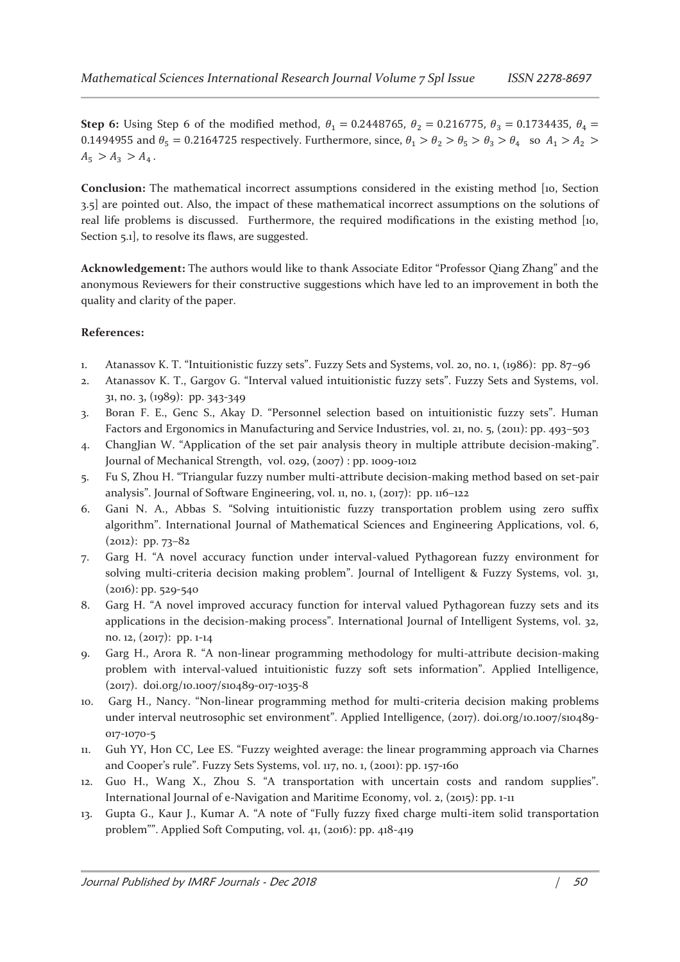**Step 6:** Using Step 6 of the modified method,  $\theta_1 = 0.2448765$ ,  $\theta_2 = 0.216775$ ,  $\theta_3 = 0.1734435$ ,  $\theta_4 = 0.216775$ 0.1494955 and  $\theta_5 = 0.2164725$  respectively. Furthermore, since,  $\theta_1 > \theta_2 > \theta_5 > \theta_3 > \theta_4$  so  $A_1 > A_2$  $A_5 > A_3 > A_4$ .

**Conclusion:** The mathematical incorrect assumptions considered in the existing method [10, Section 3.5] are pointed out. Also, the impact of these mathematical incorrect assumptions on the solutions of real life problems is discussed. Furthermore, the required modifications in the existing method [10, Section 5.1, to resolve its flaws, are suggested.

**Acknowledgement:** The authors would like to thank Associate Editor "Professor Qiang Zhang" and the anonymous Reviewers for their constructive suggestions which have led to an improvement in both the quality and clarity of the paper.

## **References:**

- 1. Atanassov K. T. "Intuitionistic fuzzy sets". Fuzzy Sets and Systems, vol. 20, no. 1, (1986): pp. 87–96
- 2. Atanassov K. T., Gargov G. "Interval valued intuitionistic fuzzy sets". Fuzzy Sets and Systems, vol. 31, no. 3, (1989): pp. 343-349
- 3. Boran F. E., Genc S., Akay D. "Personnel selection based on intuitionistic fuzzy sets". Human Factors and Ergonomics in Manufacturing and Service Industries, vol. 21, no. 5, (2011): pp. 493–503
- 4. ChangJian W. "Application of the set pair analysis theory in multiple attribute decision-making". Journal of Mechanical Strength, vol. 029, (2007) : pp. 1009-1012
- 5. Fu S, Zhou H. "Triangular fuzzy number multi-attribute decision-making method based on set-pair analysis". Journal of Software Engineering, vol. 11, no. 1, (2017): pp. 116–122
- 6. Gani N. A., Abbas S. "Solving intuitionistic fuzzy transportation problem using zero suffix algorithm". International Journal of Mathematical Sciences and Engineering Applications, vol. 6,  $(2012)$ : pp. 73–82
- 7. Garg H. "A novel accuracy function under interval-valued Pythagorean fuzzy environment for solving multi-criteria decision making problem". Journal of Intelligent & Fuzzy Systems, vol. 31,  $(2016)$ : pp. 529-540
- 8. Garg H. "A novel improved accuracy function for interval valued Pythagorean fuzzy sets and its applications in the decision-making process". International Journal of Intelligent Systems, vol. 32, no. 12, (2017): pp. 1-14
- 9. Garg H., Arora R. "A non-linear programming methodology for multi-attribute decision-making problem with interval-valued intuitionistic fuzzy soft sets information". Applied Intelligence, (2017). doi.org/10.1007/s10489-017-1035-8
- 10. Garg H., Nancy. "Non-linear programming method for multi-criteria decision making problems under interval neutrosophic set environment". Applied Intelligence, (2017). doi.org/10.1007/s10489- 017-1070-5
- 11. Guh YY, Hon CC, Lee ES. "Fuzzy weighted average: the linear programming approach via Charnes and Cooper's rule". Fuzzy Sets Systems, vol. 117, no. 1, (2001): pp. 157-160
- 12. Guo H., Wang X., Zhou S. "A transportation with uncertain costs and random supplies". International Journal of e-Navigation and Maritime Economy, vol. 2, (2015): pp. 1-11
- 13. Gupta G., Kaur J., Kumar A. "A note of "Fully fuzzy fixed charge multi-item solid transportation problem"". Applied Soft Computing, vol. 41, (2016): pp. 418-419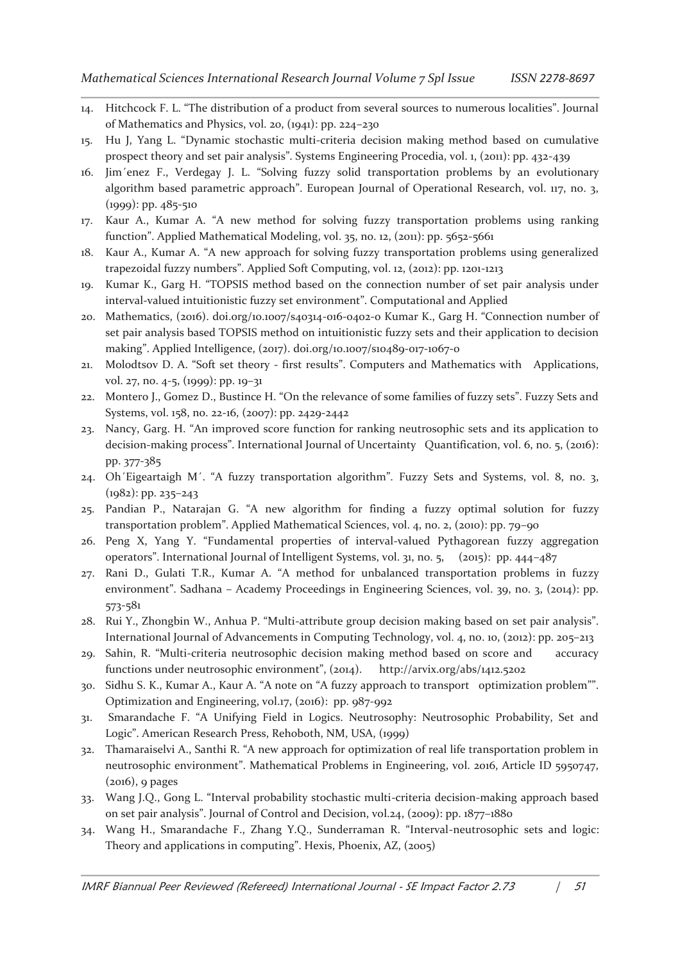- 14. Hitchcock F. L. "The distribution of a product from several sources to numerous localities". Journal of Mathematics and Physics, vol. 20, (1941): pp. 224–230
- 15. Hu J, Yang L. "Dynamic stochastic multi-criteria decision making method based on cumulative prospect theory and set pair analysis". Systems Engineering Procedia, vol. 1, (2011): pp. 432-439
- 16. Jim´enez F., Verdegay J. L. "Solving fuzzy solid transportation problems by an evolutionary algorithm based parametric approach". European Journal of Operational Research, vol. 117, no. 3, (1999): pp. 485-510
- 17. Kaur A., Kumar A. "A new method for solving fuzzy transportation problems using ranking function". Applied Mathematical Modeling, vol. 35, no. 12, (2011): pp. 5652-5661
- 18. Kaur A., Kumar A. "A new approach for solving fuzzy transportation problems using generalized trapezoidal fuzzy numbers". Applied Soft Computing, vol. 12, (2012): pp. 1201-1213
- 19. Kumar K., Garg H. "TOPSIS method based on the connection number of set pair analysis under interval-valued intuitionistic fuzzy set environment". Computational and Applied
- 20. Mathematics, (2016). doi.org/10.1007/s40314-016-0402-0 Kumar K., Garg H. "Connection number of set pair analysis based TOPSIS method on intuitionistic fuzzy sets and their application to decision making". Applied Intelligence, (2017). doi.org/10.1007/s10489-017-1067-0
- 21. Molodtsov D. A. "Soft set theory first results". Computers and Mathematics with Applications, vol. 27, no. 4-5, (1999): pp. 19–31
- 22. Montero J., Gomez D., Bustince H. "On the relevance of some families of fuzzy sets". Fuzzy Sets and Systems, vol. 158, no. 22-16, (2007): pp. 2429-2442
- 23. Nancy, Garg. H. "An improved score function for ranking neutrosophic sets and its application to decision-making process". International Journal of Uncertainty Quantification, vol. 6, no. 5, (2016): pp. 377-385
- 24. Oh´Eigeartaigh M´. "A fuzzy transportation algorithm". Fuzzy Sets and Systems, vol. 8, no. 3, (1982): pp. 235–243
- 25. Pandian P., Natarajan G. "A new algorithm for finding a fuzzy optimal solution for fuzzy transportation problem". Applied Mathematical Sciences, vol. 4, no. 2, (2010): pp. 79–90
- 26. Peng X, Yang Y. "Fundamental properties of interval-valued Pythagorean fuzzy aggregation operators". International Journal of Intelligent Systems, vol. 31, no. 5, (2015): pp. 444–487
- 27. Rani D., Gulati T.R., Kumar A. "A method for unbalanced transportation problems in fuzzy environment". Sadhana – Academy Proceedings in Engineering Sciences, vol. 39, no. 3, (2014): pp. 573-581
- 28. Rui Y., Zhongbin W., Anhua P. "Multi-attribute group decision making based on set pair analysis". International Journal of Advancements in Computing Technology, vol. 4, no. 10, (2012): pp. 205–213
- 29. Sahin, R. "Multi-criteria neutrosophic decision making method based on score and accuracy functions under neutrosophic environment", (2014). http://arvix.org/abs/1412.5202
- 30. Sidhu S. K., Kumar A., Kaur A. "A note on "A fuzzy approach to transport optimization problem"". Optimization and Engineering, vol.17, (2016): pp. 987-992
- 31. Smarandache F. "A Unifying Field in Logics. Neutrosophy: Neutrosophic Probability, Set and Logic". American Research Press, Rehoboth, NM, USA, (1999)
- 32. Thamaraiselvi A., Santhi R. "A new approach for optimization of real life transportation problem in neutrosophic environment". Mathematical Problems in Engineering, vol. 2016, Article ID 5950747, (2016), 9 pages
- 33. Wang J.Q., Gong L. "Interval probability stochastic multi-criteria decision-making approach based on set pair analysis". Journal of Control and Decision, vol.24, (2009): pp. 1877–1880
- 34. Wang H., Smarandache F., Zhang Y.Q., Sunderraman R. "Interval-neutrosophic sets and logic: Theory and applications in computing". Hexis, Phoenix, AZ, (2005)